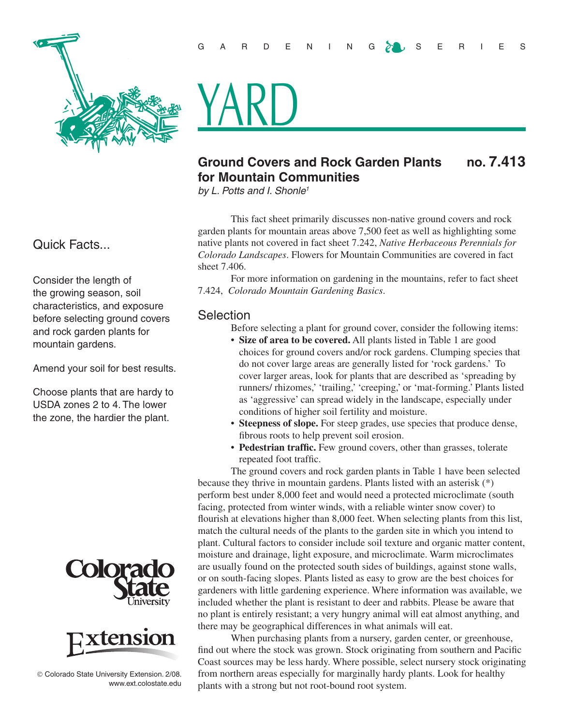

# <u>YARD</u>

# **Ground Covers and Rock Garden Plants no. 7.413 for Mountain Communities**

*by L. Potts and I. Shonle1*

This fact sheet primarily discusses non-native ground covers and rock garden plants for mountain areas above 7,500 feet as well as highlighting some native plants not covered in fact sheet 7.242, *Native Herbaceous Perennials for Colorado Landscapes*. Flowers for Mountain Communities are covered in fact sheet 7.406.

For more information on gardening in the mountains, refer to fact sheet 7.424, *Colorado Mountain Gardening Basics*.

#### Selection

- Before selecting a plant for ground cover, consider the following items:
- **Size of area to be covered.** All plants listed in Table 1 are good choices for ground covers and/or rock gardens. Clumping species that do not cover large areas are generally listed for 'rock gardens.' To cover larger areas, look for plants that are described as 'spreading by runners/ rhizomes,' 'trailing,' 'creeping,' or 'mat-forming.' Plants listed as 'aggressive' can spread widely in the landscape, especially under conditions of higher soil fertility and moisture.
- **Steepness of slope.** For steep grades, use species that produce dense, fibrous roots to help prevent soil erosion.
- **Pedestrian traffic.** Few ground covers, other than grasses, tolerate repeated foot traffic.

The ground covers and rock garden plants in Table 1 have been selected because they thrive in mountain gardens. Plants listed with an asterisk (\*) perform best under 8,000 feet and would need a protected microclimate (south facing, protected from winter winds, with a reliable winter snow cover) to flourish at elevations higher than 8,000 feet. When selecting plants from this list, match the cultural needs of the plants to the garden site in which you intend to plant. Cultural factors to consider include soil texture and organic matter content, moisture and drainage, light exposure, and microclimate. Warm microclimates are usually found on the protected south sides of buildings, against stone walls, or on south-facing slopes. Plants listed as easy to grow are the best choices for gardeners with little gardening experience. Where information was available, we included whether the plant is resistant to deer and rabbits. Please be aware that no plant is entirely resistant; a very hungry animal will eat almost anything, and there may be geographical differences in what animals will eat.

When purchasing plants from a nursery, garden center, or greenhouse, find out where the stock was grown. Stock originating from southern and Pacific Coast sources may be less hardy. Where possible, select nursery stock originating from northern areas especially for marginally hardy plants. Look for healthy plants with a strong but not root-bound root system.

## Quick Facts...

Consider the length of the growing season, soil characteristics, and exposure before selecting ground covers and rock garden plants for mountain gardens.

Amend your soil for best results.

Choose plants that are hardy to USDA zones 2 to 4. The lower the zone, the hardier the plant.





 Colorado State University Extension. 2/08. www.ext.colostate.edu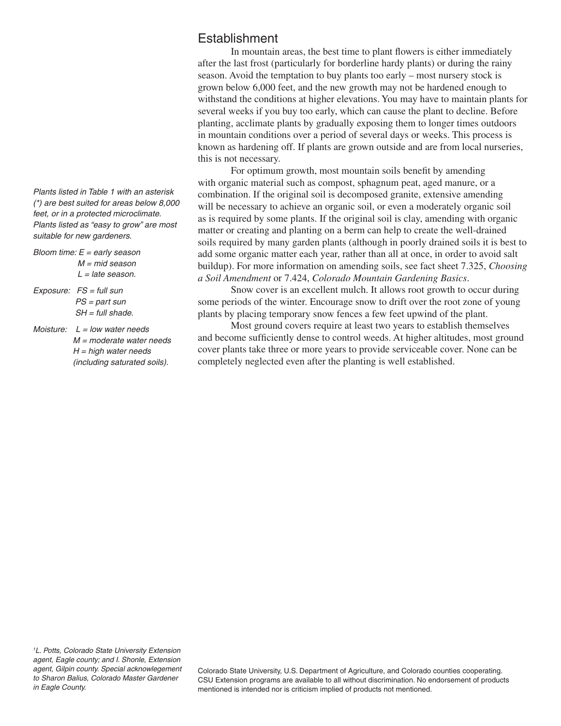*Plants listed in Table 1 with an asterisk (\*) are best suited for areas below 8,000 feet, or in a protected microclimate. Plants listed as "easy to grow" are most suitable for new gardeners.* 

- *Bloom time: E = early season M = mid season L = late season.*
- *Exposure: FS = full sun PS = part sun SH = full shade.*
- *Moisture: L = low water needs M = moderate water needs H = high water needs (including saturated soils).*

# **Establishment**

In mountain areas, the best time to plant flowers is either immediately after the last frost (particularly for borderline hardy plants) or during the rainy season. Avoid the temptation to buy plants too early – most nursery stock is grown below 6,000 feet, and the new growth may not be hardened enough to withstand the conditions at higher elevations. You may have to maintain plants for several weeks if you buy too early, which can cause the plant to decline. Before planting, acclimate plants by gradually exposing them to longer times outdoors in mountain conditions over a period of several days or weeks. This process is known as hardening off. If plants are grown outside and are from local nurseries, this is not necessary.

For optimum growth, most mountain soils benefit by amending with organic material such as compost, sphagnum peat, aged manure, or a combination. If the original soil is decomposed granite, extensive amending will be necessary to achieve an organic soil, or even a moderately organic soil as is required by some plants. If the original soil is clay, amending with organic matter or creating and planting on a berm can help to create the well-drained soils required by many garden plants (although in poorly drained soils it is best to add some organic matter each year, rather than all at once, in order to avoid salt buildup). For more information on amending soils, see fact sheet 7.325, *Choosing a Soil Amendment* or 7.424, *Colorado Mountain Gardening Basics*.

Snow cover is an excellent mulch. It allows root growth to occur during some periods of the winter. Encourage snow to drift over the root zone of young plants by placing temporary snow fences a few feet upwind of the plant.

Most ground covers require at least two years to establish themselves and become sufficiently dense to control weeds. At higher altitudes, most ground cover plants take three or more years to provide serviceable cover. None can be completely neglected even after the planting is well established.

Colorado State University, U.S. Department of Agriculture, and Colorado counties cooperating. CSU Extension programs are available to all without discrimination. No endorsement of products mentioned is intended nor is criticism implied of products not mentioned.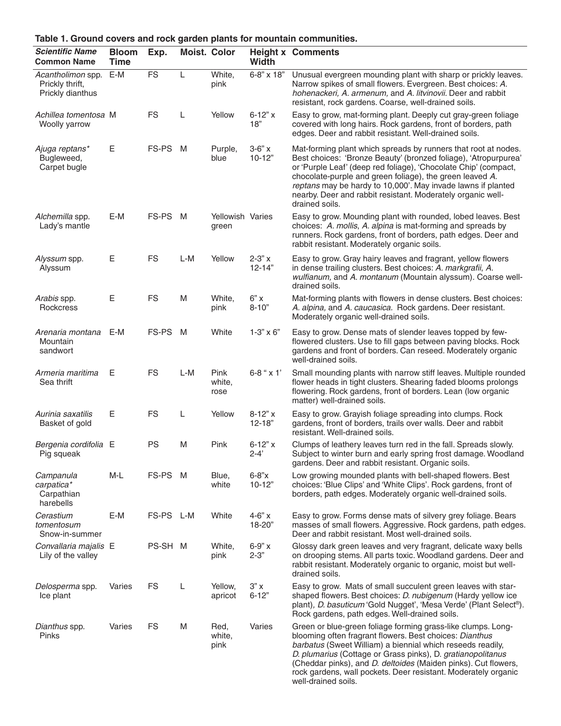| <b>Scientific Name</b><br><b>Common Name</b>             | <b>Bloom</b><br><b>Time</b> | Exp.      | Moist. Color |                           | Width                    | <b>Height x Comments</b>                                                                                                                                                                                                                                                                                                                                                                                          |
|----------------------------------------------------------|-----------------------------|-----------|--------------|---------------------------|--------------------------|-------------------------------------------------------------------------------------------------------------------------------------------------------------------------------------------------------------------------------------------------------------------------------------------------------------------------------------------------------------------------------------------------------------------|
| Acantholimon spp.<br>Prickly thrift,<br>Prickly dianthus | E-M                         | <b>FS</b> | L            | White,<br>pink            | 6-8" x 18"               | Unusual evergreen mounding plant with sharp or prickly leaves.<br>Narrow spikes of small flowers. Evergreen. Best choices: A.<br>hohenackeri, A. armenum, and A. litvinovii. Deer and rabbit<br>resistant, rock gardens. Coarse, well-drained soils.                                                                                                                                                              |
| Achillea tomentosa M<br>Woolly yarrow                    |                             | <b>FS</b> | L            | Yellow                    | $6 - 12" x$<br>18"       | Easy to grow, mat-forming plant. Deeply cut gray-green foliage<br>covered with long hairs. Rock gardens, front of borders, path<br>edges. Deer and rabbit resistant. Well-drained soils.                                                                                                                                                                                                                          |
| Ajuga reptans*<br>Bugleweed,<br>Carpet bugle             | Е                           | FS-PS M   |              | Purple,<br>blue           | $3-6"$ x<br>$10 - 12"$   | Mat-forming plant which spreads by runners that root at nodes.<br>Best choices: 'Bronze Beauty' (bronzed foliage), 'Atropurpurea'<br>or 'Purple Leaf' (deep red foliage), 'Chocolate Chip' (compact,<br>chocolate-purple and green foliage), the green leaved A.<br>reptans may be hardy to 10,000'. May invade lawns if planted<br>nearby. Deer and rabbit resistant. Moderately organic well-<br>drained soils. |
| Alchemilla spp.<br>Lady's mantle                         | E-M                         | FS-PS M   |              | Yellowish Varies<br>green |                          | Easy to grow. Mounding plant with rounded, lobed leaves. Best<br>choices: A. mollis, A. alpina is mat-forming and spreads by<br>runners. Rock gardens, front of borders, path edges. Deer and<br>rabbit resistant. Moderately organic soils.                                                                                                                                                                      |
| Alyssum spp.<br>Alyssum                                  | Е                           | <b>FS</b> | L-M          | Yellow                    | $2 - 3" x$<br>$12 - 14"$ | Easy to grow. Gray hairy leaves and fragrant, yellow flowers<br>in dense trailing clusters. Best choices: A. markgrafii, A.<br>wulfianum, and A. montanum (Mountain alyssum). Coarse well-<br>drained soils.                                                                                                                                                                                                      |
| Arabis spp.<br>Rockcress                                 | Е                           | <b>FS</b> | M            | White,<br>pink            | $6"$ X<br>$8 - 10"$      | Mat-forming plants with flowers in dense clusters. Best choices:<br>A. alpina, and A. caucasica. Rock gardens. Deer resistant.<br>Moderately organic well-drained soils.                                                                                                                                                                                                                                          |
| Arenaria montana<br>Mountain<br>sandwort                 | E-M                         | FS-PS M   |              | White                     | $1 - 3" \times 6"$       | Easy to grow. Dense mats of slender leaves topped by few-<br>flowered clusters. Use to fill gaps between paving blocks. Rock<br>gardens and front of borders. Can reseed. Moderately organic<br>well-drained soils.                                                                                                                                                                                               |
| Armeria maritima<br>Sea thrift                           | Е                           | <b>FS</b> | L-M          | Pink<br>white,<br>rose    | $6 - 8$ " x 1'           | Small mounding plants with narrow stiff leaves. Multiple rounded<br>flower heads in tight clusters. Shearing faded blooms prolongs<br>flowering. Rock gardens, front of borders. Lean (low organic<br>matter) well-drained soils.                                                                                                                                                                                 |
| Aurinia saxatilis<br>Basket of gold                      | Е                           | <b>FS</b> | L            | Yellow                    | $8-12"x$<br>$12 - 18"$   | Easy to grow. Grayish foliage spreading into clumps. Rock<br>gardens, front of borders, trails over walls. Deer and rabbit<br>resistant. Well-drained soils.                                                                                                                                                                                                                                                      |
| Bergenia cordifolia E<br>Pig squeak                      |                             | <b>PS</b> | M            | Pink                      | $6 - 12" x$<br>$2 - 4'$  | Clumps of leathery leaves turn red in the fall. Spreads slowly.<br>Subject to winter burn and early spring frost damage. Woodland<br>gardens. Deer and rabbit resistant. Organic soils.                                                                                                                                                                                                                           |
| Campanula<br>carpatica*<br>Carpathian<br>harebells       | $M-L$                       | FS-PS M   |              | Blue,<br>white            | $6 - 8"x$<br>$10-12"$    | Low growing mounded plants with bell-shaped flowers. Best<br>choices: 'Blue Clips' and 'White Clips'. Rock gardens, front of<br>borders, path edges. Moderately organic well-drained soils.                                                                                                                                                                                                                       |
| Cerastium<br>tomentosum<br>Snow-in-summer                | E-M                         | FS-PS L-M |              | White                     | $4 - 6" x$<br>18-20"     | Easy to grow. Forms dense mats of silvery grey foliage. Bears<br>masses of small flowers. Aggressive. Rock gardens, path edges.<br>Deer and rabbit resistant. Most well-drained soils.                                                                                                                                                                                                                            |
| Convallaria majalis E<br>Lily of the valley              |                             | PS-SH M   |              | White,<br>pink            | $6 - 9" x$<br>$2 - 3"$   | Glossy dark green leaves and very fragrant, delicate waxy bells<br>on drooping stems. All parts toxic. Woodland gardens. Deer and<br>rabbit resistant. Moderately organic to organic, moist but well-<br>drained soils.                                                                                                                                                                                           |
| Delosperma spp.<br>Ice plant                             | Varies                      | FS        | L            | Yellow,<br>apricot        | 3"x<br>$6 - 12"$         | Easy to grow. Mats of small succulent green leaves with star-<br>shaped flowers. Best choices: D. nubigenum (Hardy yellow ice<br>plant), D. basuticum 'Gold Nugget', 'Mesa Verde' (Plant Select®).<br>Rock gardens, path edges. Well-drained soils.                                                                                                                                                               |
| Dianthus spp.<br>Pinks                                   | Varies                      | <b>FS</b> | M            | Red,<br>white,<br>pink    | Varies                   | Green or blue-green foliage forming grass-like clumps. Long-<br>blooming often fragrant flowers. Best choices: Dianthus<br>barbatus (Sweet William) a biennial which reseeds readily,<br>D. plumarius (Cottage or Grass pinks), D. gratianopolitanus<br>(Cheddar pinks), and <i>D. deltoides</i> (Maiden pinks). Cut flowers,<br>rock gardens, wall pockets. Deer resistant. Moderately organic                   |

well-drained soils.

**Table 1. Ground covers and rock garden plants for mountain communities.**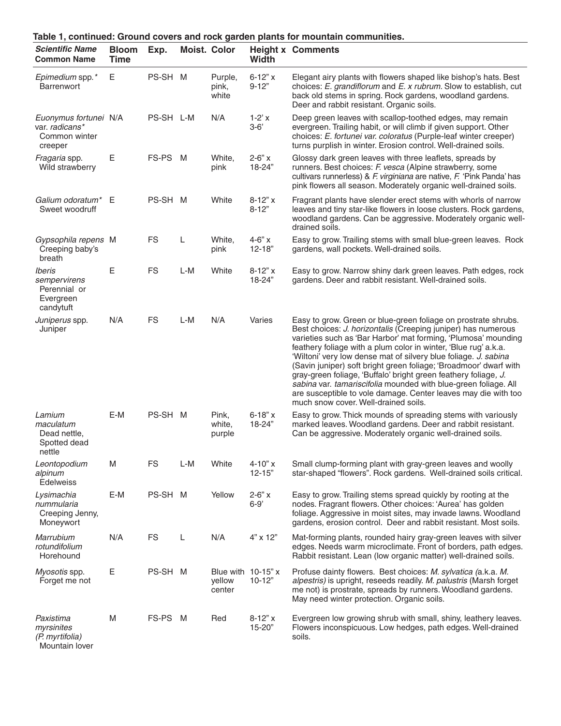| Table 1, continued: Ground covers and rock garden plants for mountain communities. |                             |           |     |                                           |                           |                                                                                                                                                                                                                                                                                                                                                                                                                                                                                                                                                                                                                                                              |  |  |
|------------------------------------------------------------------------------------|-----------------------------|-----------|-----|-------------------------------------------|---------------------------|--------------------------------------------------------------------------------------------------------------------------------------------------------------------------------------------------------------------------------------------------------------------------------------------------------------------------------------------------------------------------------------------------------------------------------------------------------------------------------------------------------------------------------------------------------------------------------------------------------------------------------------------------------------|--|--|
| <b>Scientific Name</b><br><b>Common Name</b>                                       | <b>Bloom</b><br><b>Time</b> | Exp.      |     | <b>Moist. Color</b>                       | <b>Width</b>              | <b>Height x Comments</b>                                                                                                                                                                                                                                                                                                                                                                                                                                                                                                                                                                                                                                     |  |  |
| Epimedium spp.*<br><b>Barrenwort</b>                                               | Е                           | PS-SH M   |     | Purple,<br>pink,<br>white                 | $6 - 12" x$<br>$9 - 12"$  | Elegant airy plants with flowers shaped like bishop's hats. Best<br>choices: E. grandiflorum and E. x rubrum. Slow to establish, cut<br>back old stems in spring. Rock gardens, woodland gardens.<br>Deer and rabbit resistant. Organic soils.                                                                                                                                                                                                                                                                                                                                                                                                               |  |  |
| Euonymus fortunei N/A<br>var. radicans*<br>Common winter<br>creeper                |                             | PS-SH L-M |     | N/A                                       | $1-2'x$<br>$3 - 6'$       | Deep green leaves with scallop-toothed edges, may remain<br>evergreen. Trailing habit, or will climb if given support. Other<br>choices: E. fortunei var. coloratus (Purple-leaf winter creeper)<br>turns purplish in winter. Erosion control. Well-drained soils.                                                                                                                                                                                                                                                                                                                                                                                           |  |  |
| Fragaria spp.<br>Wild strawberry                                                   | Ε                           | FS-PS M   |     | White,<br>pink                            | $2 - 6" x$<br>18-24"      | Glossy dark green leaves with three leaflets, spreads by<br>runners. Best choices: F. vesca (Alpine strawberry, some<br>cultivars runnerless) & F. virginiana are native, F. 'Pink Panda' has<br>pink flowers all season. Moderately organic well-drained soils.                                                                                                                                                                                                                                                                                                                                                                                             |  |  |
| Galium odoratum*<br>Sweet woodruff                                                 | E                           | PS-SH M   |     | White                                     | $8-12"x$<br>$8 - 12"$     | Fragrant plants have slender erect stems with whorls of narrow<br>leaves and tiny star-like flowers in loose clusters. Rock gardens,<br>woodland gardens. Can be aggressive. Moderately organic well-<br>drained soils.                                                                                                                                                                                                                                                                                                                                                                                                                                      |  |  |
| Gypsophila repens M<br>Creeping baby's<br>breath                                   |                             | <b>FS</b> | L   | White,<br>pink                            | $4 - 6" x$<br>$12 - 18"$  | Easy to grow. Trailing stems with small blue-green leaves. Rock<br>gardens, wall pockets. Well-drained soils.                                                                                                                                                                                                                                                                                                                                                                                                                                                                                                                                                |  |  |
| Iberis<br>sempervirens<br>Perennial or<br>Evergreen<br>candytuft                   | Е                           | <b>FS</b> | L-M | White                                     | $8 - 12" x$<br>18-24"     | Easy to grow. Narrow shiny dark green leaves. Path edges, rock<br>gardens. Deer and rabbit resistant. Well-drained soils.                                                                                                                                                                                                                                                                                                                                                                                                                                                                                                                                    |  |  |
| Juniperus spp.<br>Juniper                                                          | N/A                         | <b>FS</b> | L-M | N/A                                       | Varies                    | Easy to grow. Green or blue-green foliage on prostrate shrubs.<br>Best choices: J. horizontalis (Creeping juniper) has numerous<br>varieties such as 'Bar Harbor' mat forming, 'Plumosa' mounding<br>feathery foliage with a plum color in winter, 'Blue rug' a.k.a.<br>'Wiltoni' very low dense mat of silvery blue foliage. J. sabina<br>(Savin juniper) soft bright green foliage; 'Broadmoor' dwarf with<br>gray-green foliage, 'Buffalo' bright green feathery foliage, J.<br>sabina var. tamariscifolia mounded with blue-green foliage. All<br>are susceptible to vole damage. Center leaves may die with too<br>much snow cover. Well-drained soils. |  |  |
| Lamium<br>maculatum<br>Dead nettle.<br>Spotted dead<br>nettle                      | E-M                         | PS-SH M   |     | Pink,<br>white,<br>purple                 | $6 - 18" x$<br>18-24"     | Easy to grow. Thick mounds of spreading stems with variously<br>marked leaves. Woodland gardens. Deer and rabbit resistant.<br>Can be aggressive. Moderately organic well-drained soils.                                                                                                                                                                                                                                                                                                                                                                                                                                                                     |  |  |
| Leontopodium<br>alpinum<br><b>Edelweiss</b>                                        | M                           | <b>FS</b> | L-M | White                                     | $4 - 10" x$<br>$12 - 15"$ | Small clump-forming plant with gray-green leaves and woolly<br>star-shaped "flowers". Rock gardens. Well-drained soils critical.                                                                                                                                                                                                                                                                                                                                                                                                                                                                                                                             |  |  |
| Lysimachia<br>nummularia<br>Creeping Jenny,<br>Moneywort                           | E-M                         | PS-SH M   |     | Yellow                                    | $2 - 6" x$<br>$6 - 9'$    | Easy to grow. Trailing stems spread quickly by rooting at the<br>nodes. Fragrant flowers. Other choices: 'Aurea' has golden<br>foliage. Aggressive in moist sites, may invade lawns. Woodland<br>gardens, erosion control. Deer and rabbit resistant. Most soils.                                                                                                                                                                                                                                                                                                                                                                                            |  |  |
| <b>Marrubium</b><br>rotundifolium<br>Horehound                                     | N/A                         | <b>FS</b> | L   | N/A                                       | 4" x 12"                  | Mat-forming plants, rounded hairy gray-green leaves with silver<br>edges. Needs warm microclimate. Front of borders, path edges.<br>Rabbit resistant. Lean (low organic matter) well-drained soils.                                                                                                                                                                                                                                                                                                                                                                                                                                                          |  |  |
| Myosotis spp.<br>Forget me not                                                     | Ε                           | PS-SH M   |     | Blue with $10-15$ " x<br>yellow<br>center | $10 - 12"$                | Profuse dainty flowers. Best choices: M. sylvatica (a.k.a. M.<br>alpestris) is upright, reseeds readily. M. palustris (Marsh forget<br>me not) is prostrate, spreads by runners. Woodland gardens.<br>May need winter protection. Organic soils.                                                                                                                                                                                                                                                                                                                                                                                                             |  |  |
| Paxistima<br>myrsinites<br>(P. myrtifolia)<br>Mountain lover                       | M                           | FS-PS M   |     | Red                                       | $8 - 12" x$<br>15-20"     | Evergreen low growing shrub with small, shiny, leathery leaves.<br>Flowers inconspicuous. Low hedges, path edges. Well-drained<br>soils.                                                                                                                                                                                                                                                                                                                                                                                                                                                                                                                     |  |  |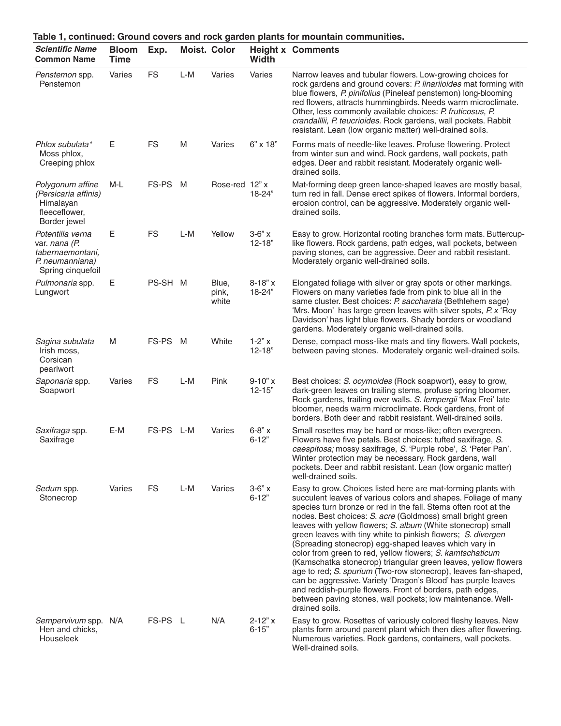| Table 1, continued: Ground covers and rock garden plants for mountain communities.            |                             |           |     |                         |                           |                                                                                                                                                                                                                                                                                                                                                                                                                                                                                                                                                                                                                                                                                                                                                                                                                                                                           |  |
|-----------------------------------------------------------------------------------------------|-----------------------------|-----------|-----|-------------------------|---------------------------|---------------------------------------------------------------------------------------------------------------------------------------------------------------------------------------------------------------------------------------------------------------------------------------------------------------------------------------------------------------------------------------------------------------------------------------------------------------------------------------------------------------------------------------------------------------------------------------------------------------------------------------------------------------------------------------------------------------------------------------------------------------------------------------------------------------------------------------------------------------------------|--|
| <b>Scientific Name</b><br><b>Common Name</b>                                                  | <b>Bloom</b><br><b>Time</b> | Exp.      |     | <b>Moist. Color</b>     | <b>Width</b>              | <b>Height x Comments</b>                                                                                                                                                                                                                                                                                                                                                                                                                                                                                                                                                                                                                                                                                                                                                                                                                                                  |  |
| Penstemon spp.<br>Penstemon                                                                   | Varies                      | <b>FS</b> | L-M | Varies                  | Varies                    | Narrow leaves and tubular flowers. Low-growing choices for<br>rock gardens and ground covers: P. linariioides mat forming with<br>blue flowers, P. pinifolius (Pineleaf penstemon) long-blooming<br>red flowers, attracts hummingbirds. Needs warm microclimate.<br>Other, less commonly available choices: P. fruticosus, P.<br>crandalllii, P. teucrioides. Rock gardens, wall pockets. Rabbit<br>resistant. Lean (low organic matter) well-drained soils.                                                                                                                                                                                                                                                                                                                                                                                                              |  |
| Phlox subulata*<br>Moss phlox,<br>Creeping phlox                                              | Е                           | <b>FS</b> | M   | Varies                  | 6" x 18"                  | Forms mats of needle-like leaves. Profuse flowering. Protect<br>from winter sun and wind. Rock gardens, wall pockets, path<br>edges. Deer and rabbit resistant. Moderately organic well-<br>drained soils.                                                                                                                                                                                                                                                                                                                                                                                                                                                                                                                                                                                                                                                                |  |
| Polygonum affine<br>(Persicaria affinis)<br>Himalayan<br>fleeceflower,<br>Border jewel        | M-L                         | FS-PS     | M   | Rose-red 12" x          | 18-24"                    | Mat-forming deep green lance-shaped leaves are mostly basal,<br>turn red in fall. Dense erect spikes of flowers. Informal borders,<br>erosion control, can be aggressive. Moderately organic well-<br>drained soils.                                                                                                                                                                                                                                                                                                                                                                                                                                                                                                                                                                                                                                                      |  |
| Potentilla verna<br>var. nana (P.<br>tabernaemontani,<br>P. neumanniana)<br>Spring cinquefoil | Е                           | <b>FS</b> | L-M | Yellow                  | $3-6"$ x<br>$12 - 18"$    | Easy to grow. Horizontal rooting branches form mats. Buttercup-<br>like flowers. Rock gardens, path edges, wall pockets, between<br>paving stones, can be aggressive. Deer and rabbit resistant.<br>Moderately organic well-drained soils.                                                                                                                                                                                                                                                                                                                                                                                                                                                                                                                                                                                                                                |  |
| Pulmonaria spp.<br>Lungwort                                                                   | Е                           | PS-SH M   |     | Blue,<br>pink,<br>white | $8 - 18" x$<br>18-24"     | Elongated foliage with silver or gray spots or other markings.<br>Flowers on many varieties fade from pink to blue all in the<br>same cluster. Best choices: P. saccharata (Bethlehem sage)<br>'Mrs. Moon' has large green leaves with silver spots, P. x 'Roy<br>Davidson' has light blue flowers. Shady borders or woodland<br>gardens. Moderately organic well-drained soils.                                                                                                                                                                                                                                                                                                                                                                                                                                                                                          |  |
| Sagina subulata<br>Irish moss,<br>Corsican<br>pearlwort                                       | M                           | FS-PS M   |     | White                   | $1 - 2" x$<br>$12 - 18"$  | Dense, compact moss-like mats and tiny flowers. Wall pockets,<br>between paving stones. Moderately organic well-drained soils.                                                                                                                                                                                                                                                                                                                                                                                                                                                                                                                                                                                                                                                                                                                                            |  |
| Saponaria spp.<br>Soapwort                                                                    | Varies                      | <b>FS</b> | L-M | Pink                    | $9 - 10" x$<br>$12 - 15"$ | Best choices: S. ocymoides (Rock soapwort), easy to grow,<br>dark-green leaves on trailing stems, profuse spring bloomer.<br>Rock gardens, trailing over walls. S. lempergii 'Max Frei' late<br>bloomer, needs warm microclimate. Rock gardens, front of<br>borders. Both deer and rabbit resistant. Well-drained soils.                                                                                                                                                                                                                                                                                                                                                                                                                                                                                                                                                  |  |
| Saxifraga spp.<br>Saxifrage                                                                   | E-M                         | FS-PS     | L-M | Varies                  | $6 - 8" x$<br>$6 - 12"$   | Small rosettes may be hard or moss-like; often evergreen.<br>Flowers have five petals. Best choices: tufted saxifrage, S.<br>caespitosa; mossy saxifrage, S. 'Purple robe', S. 'Peter Pan'.<br>Winter protection may be necessary. Rock gardens, wall<br>pockets. Deer and rabbit resistant. Lean (low organic matter)<br>well-drained soils.                                                                                                                                                                                                                                                                                                                                                                                                                                                                                                                             |  |
| Sedum spp.<br>Stonecrop                                                                       | Varies                      | <b>FS</b> | L-M | Varies                  | $3-6"$ x<br>$6 - 12"$     | Easy to grow. Choices listed here are mat-forming plants with<br>succulent leaves of various colors and shapes. Foliage of many<br>species turn bronze or red in the fall. Stems often root at the<br>nodes. Best choices: S. acre (Goldmoss) small bright green<br>leaves with yellow flowers; S. album (White stonecrop) small<br>green leaves with tiny white to pinkish flowers; S. divergen<br>(Spreading stonecrop) egg-shaped leaves which vary in<br>color from green to red, yellow flowers; S. kamtschaticum<br>(Kamschatka stonecrop) triangular green leaves, yellow flowers<br>age to red; S. spurium (Two-row stonecrop), leaves fan-shaped,<br>can be aggressive. Variety 'Dragon's Blood' has purple leaves<br>and reddish-purple flowers. Front of borders, path edges,<br>between paving stones, wall pockets; low maintenance. Well-<br>drained soils. |  |
| Sempervivum spp. N/A<br>Hen and chicks,<br>Houseleek                                          |                             | FS-PS L   |     | N/A                     | $2 - 12" x$<br>$6 - 15"$  | Easy to grow. Rosettes of variously colored fleshy leaves. New<br>plants form around parent plant which then dies after flowering.<br>Numerous varieties. Rock gardens, containers, wall pockets.<br>Well-drained soils.                                                                                                                                                                                                                                                                                                                                                                                                                                                                                                                                                                                                                                                  |  |